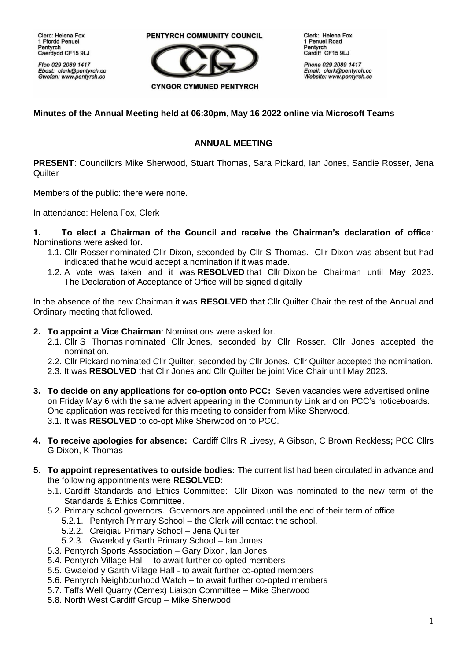**Clerc: Helena Fox** 1 Ffordd Penuel Pentyrch Caerdydd CF15 9LJ

Ffon 029 2089 1417 Ebost: clerk@pentyrch.cc Gwefan: www.pentyrch.cc

PENTYRCH COMMUNITY COUNCIL



Clerk: Helena Fox 1 Penuel Road Pentyrch Cardiff CF15 9LJ

Phone 029 2089 1417 Email: clerk@pentyrch.cc Website: www.pentyrch.cc

## **Minutes of the Annual Meeting held at 06:30pm, May 16 2022 online via Microsoft Teams**

## **ANNUAL MEETING**

**PRESENT**: Councillors Mike Sherwood, Stuart Thomas, Sara Pickard, Ian Jones, Sandie Rosser, Jena **Quilter** 

Members of the public: there were none.

In attendance: Helena Fox, Clerk

**1. To elect a Chairman of the Council and receive the Chairman's declaration of office**: Nominations were asked for.

- 1.1. Cllr Rosser nominated Cllr Dixon, seconded by Cllr S Thomas. Cllr Dixon was absent but had indicated that he would accept a nomination if it was made.
- 1.2. A vote was taken and it was **RESOLVED** that Cllr Dixon be Chairman until May 2023. The Declaration of Acceptance of Office will be signed digitally

In the absence of the new Chairman it was **RESOLVED** that Cllr Quilter Chair the rest of the Annual and Ordinary meeting that followed.

- **2. To appoint a Vice Chairman**: Nominations were asked for.
	- 2.1. Cllr S Thomas nominated Cllr Jones, seconded by Cllr Rosser. Cllr Jones accepted the nomination.
	- 2.2. Cllr Pickard nominated Cllr Quilter, seconded by Cllr Jones. Cllr Quilter accepted the nomination.
	- 2.3. It was **RESOLVED** that Cllr Jones and Cllr Quilter be joint Vice Chair until May 2023.
- **3. To decide on any applications for co-option onto PCC:** Seven vacancies were advertised online on Friday May 6 with the same advert appearing in the Community Link and on PCC's noticeboards. One application was received for this meeting to consider from Mike Sherwood. 3.1. It was **RESOLVED** to co-opt Mike Sherwood on to PCC.
- **4. To receive apologies for absence:** Cardiff Cllrs R Livesy, A Gibson, C Brown Reckless**;** PCC Cllrs G Dixon, K Thomas
- **5. To appoint representatives to outside bodies:** The current list had been circulated in advance and the following appointments were **RESOLVED**:
	- 5.1. Cardiff Standards and Ethics Committee: Cllr Dixon was nominated to the new term of the Standards & Ethics Committee.
	- 5.2. Primary school governors. Governors are appointed until the end of their term of office
		- 5.2.1. Pentyrch Primary School the Clerk will contact the school.
		- 5.2.2. Creigiau Primary School Jena Quilter
		- 5.2.3. Gwaelod y Garth Primary School Ian Jones
	- 5.3. Pentyrch Sports Association Gary Dixon, Ian Jones
	- 5.4. Pentyrch Village Hall to await further co-opted members
	- 5.5. Gwaelod y Garth Village Hall to await further co-opted members
	- 5.6. Pentyrch Neighbourhood Watch to await further co-opted members
	- 5.7. Taffs Well Quarry (Cemex) Liaison Committee Mike Sherwood
	- 5.8. North West Cardiff Group Mike Sherwood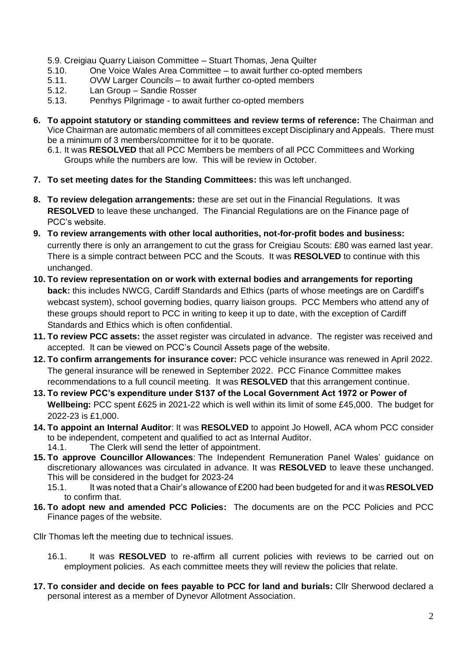- 5.9. Creigiau Quarry Liaison Committee Stuart Thomas, Jena Quilter
- 5.10. One Voice Wales Area Committee to await further co-opted members
- 5.11. OVW Larger Councils to await further co-opted members
- 5.12. Lan Group Sandie Rosser
- 5.13. Penrhys Pilgrimage to await further co-opted members
- **6. To appoint statutory or standing committees and review terms of reference:** The Chairman and Vice Chairman are automatic members of all committees except Disciplinary and Appeals. There must be a minimum of 3 members/committee for it to be quorate.
	- 6.1. It was **RESOLVED** that all PCC Members be members of all PCC Committees and Working Groups while the numbers are low. This will be review in October.
- **7. To set meeting dates for the Standing Committees:** this was left unchanged.
- **8. To review delegation arrangements:** these are set out in the Financial Regulations. It was **RESOLVED** to leave these unchanged. The Financial Regulations are on the Finance page of PCC's website.
- **9. To review arrangements with other local authorities, not-for-profit bodes and business:**  currently there is only an arrangement to cut the grass for Creigiau Scouts: £80 was earned last year. There is a simple contract between PCC and the Scouts. It was **RESOLVED** to continue with this unchanged.
- **10. To review representation on or work with external bodies and arrangements for reporting back:** this includes NWCG, Cardiff Standards and Ethics (parts of whose meetings are on Cardiff's webcast system), school governing bodies, quarry liaison groups. PCC Members who attend any of these groups should report to PCC in writing to keep it up to date, with the exception of Cardiff Standards and Ethics which is often confidential.
- **11. To review PCC assets:** the asset register was circulated in advance. The register was received and accepted. It can be viewed on PCC's Council Assets page of the website.
- **12. To confirm arrangements for insurance cover:** PCC vehicle insurance was renewed in April 2022. The general insurance will be renewed in September 2022. PCC Finance Committee makes recommendations to a full council meeting. It was **RESOLVED** that this arrangement continue.
- **13. To review PCC's expenditure under S137 of the Local Government Act 1972 or Power of Wellbeing:** PCC spent £625 in 2021-22 which is well within its limit of some £45,000. The budget for 2022-23 is £1,000.
- **14. To appoint an Internal Auditor**: It was **RESOLVED** to appoint Jo Howell, ACA whom PCC consider to be independent, competent and qualified to act as Internal Auditor. 14.1. The Clerk will send the letter of appointment.
- **15. To approve Councillor Allowances**: The Independent Remuneration Panel Wales' guidance on discretionary allowances was circulated in advance. It was **RESOLVED** to leave these unchanged. This will be considered in the budget for 2023-24

**16. To adopt new and amended PCC Policies:** The documents are on the PCC Policies and PCC Finance pages of the website.

Cllr Thomas left the meeting due to technical issues.

- 16.1. It was **RESOLVED** to re-affirm all current policies with reviews to be carried out on employment policies. As each committee meets they will review the policies that relate.
- **17. To consider and decide on fees payable to PCC for land and burials:** Cllr Sherwood declared a personal interest as a member of Dynevor Allotment Association.

<sup>15.1.</sup> It was noted that a Chair's allowance of £200 had been budgeted for and it was **RESOLVED** to confirm that.